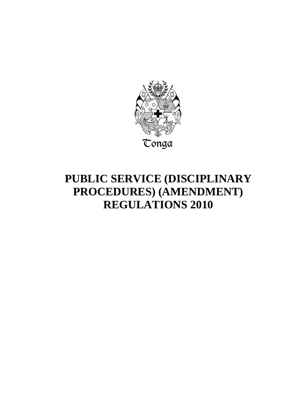

# **PUBLIC SERVICE (DISCIPLINARY PROCEDURES) (AMENDMENT) REGULATIONS 2010**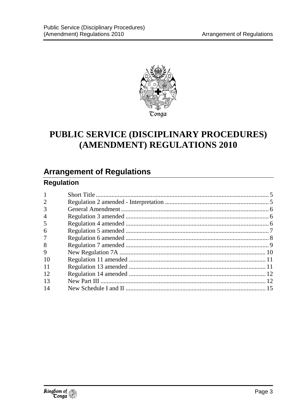

## PUBLIC SERVICE (DISCIPLINARY PROCEDURES) (AMENDMENT) REGULATIONS 2010

## **Arrangement of Regulations**

### **Regulation**

| $\mathbf{1}$   |  |
|----------------|--|
| $\overline{2}$ |  |
| 3              |  |
| $\overline{4}$ |  |
| 5              |  |
| 6              |  |
| 7              |  |
| 8              |  |
| 9              |  |
| 10             |  |
| 11             |  |
| 12             |  |
| 13             |  |
| 14             |  |
|                |  |

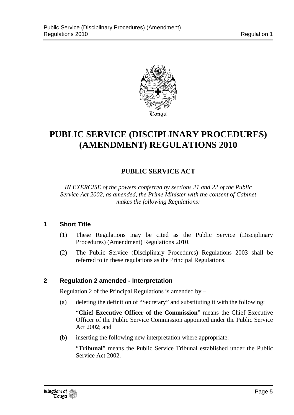

## **PUBLIC SERVICE (DISCIPLINARY PROCEDURES) (AMENDMENT) REGULATIONS 2010**

### **PUBLIC SERVICE ACT**

*IN EXERCISE of the powers conferred by sections 21 and 22 of the Public Service Act 2002, as amended, the Prime Minister with the consent of Cabinet makes the following Regulations:* 

#### **1 Short Title**

- (1) These Regulations may be cited as the Public Service (Disciplinary Procedures) (Amendment) Regulations 2010.
- (2) The Public Service (Disciplinary Procedures) Regulations 2003 shall be referred to in these regulations as the Principal Regulations.

#### **2 Regulation 2 amended - Interpretation**

Regulation 2 of the Principal Regulations is amended by –

(a) deleting the definition of "Secretary" and substituting it with the following:

"**Chief Executive Officer of the Commission**" means the Chief Executive Officer of the Public Service Commission appointed under the Public Service Act 2002; and

(b) inserting the following new interpretation where appropriate:

"**Tribunal**" means the Public Service Tribunal established under the Public Service Act 2002.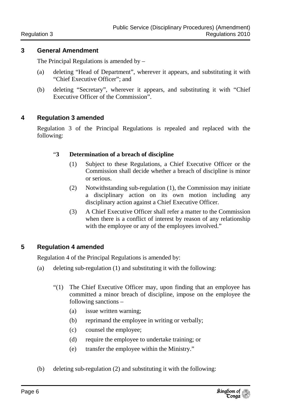#### **3 General Amendment**

The Principal Regulations is amended by –

- (a) deleting "Head of Department", wherever it appears, and substituting it with "Chief Executive Officer"; and
- (b) deleting "Secretary", wherever it appears, and substituting it with "Chief Executive Officer of the Commission".

#### **4 Regulation 3 amended**

Regulation 3 of the Principal Regulations is repealed and replaced with the following:

#### "**3 Determination of a breach of discipline**

- (1) Subject to these Regulations, a Chief Executive Officer or the Commission shall decide whether a breach of discipline is minor or serious.
- (2) Notwithstanding sub-regulation (1), the Commission may initiate a disciplinary action on its own motion including any disciplinary action against a Chief Executive Officer.
- (3) A Chief Executive Officer shall refer a matter to the Commission when there is a conflict of interest by reason of any relationship with the employee or any of the employees involved."

#### **5 Regulation 4 amended**

Regulation 4 of the Principal Regulations is amended by:

- (a) deleting sub-regulation (1) and substituting it with the following:
	- "(1) The Chief Executive Officer may, upon finding that an employee has committed a minor breach of discipline, impose on the employee the following sanctions –
		- (a) issue written warning;
		- (b) reprimand the employee in writing or verbally;
		- (c) counsel the employee;
		- (d) require the employee to undertake training; or
		- (e) transfer the employee within the Ministry."
- (b) deleting sub-regulation (2) and substituting it with the following: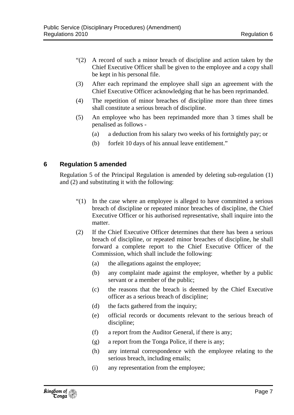- "(2) A record of such a minor breach of discipline and action taken by the Chief Executive Officer shall be given to the employee and a copy shall be kept in his personal file.
- (3) After each reprimand the employee shall sign an agreement with the Chief Executive Officer acknowledging that he has been reprimanded.
- (4) The repetition of minor breaches of discipline more than three times shall constitute a serious breach of discipline.
- (5) An employee who has been reprimanded more than 3 times shall be penalised as follows -
	- (a) a deduction from his salary two weeks of his fortnightly pay; or
	- (b) forfeit 10 days of his annual leave entitlement."

#### **6 Regulation 5 amended**

Regulation 5 of the Principal Regulation is amended by deleting sub-regulation (1) and (2) and substituting it with the following:

- "(1) In the case where an employee is alleged to have committed a serious breach of discipline or repeated minor breaches of discipline, the Chief Executive Officer or his authorised representative, shall inquire into the matter.
- (2) If the Chief Executive Officer determines that there has been a serious breach of discipline, or repeated minor breaches of discipline, he shall forward a complete report to the Chief Executive Officer of the Commission, which shall include the following:
	- (a) the allegations against the employee;
	- (b) any complaint made against the employee, whether by a public servant or a member of the public;
	- (c) the reasons that the breach is deemed by the Chief Executive officer as a serious breach of discipline;
	- (d) the facts gathered from the inquiry;
	- (e) official records or documents relevant to the serious breach of discipline;
	- (f) a report from the Auditor General, if there is any;
	- (g) a report from the Tonga Police, if there is any;
	- (h) any internal correspondence with the employee relating to the serious breach, including emails;
	- (i) any representation from the employee;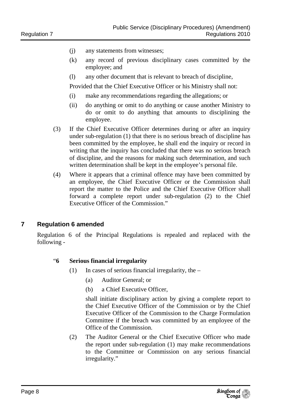- (j) any statements from witnesses;
- (k) any record of previous disciplinary cases committed by the employee; and
- (l) any other document that is relevant to breach of discipline,

Provided that the Chief Executive Officer or his Ministry shall not:

- (i) make any recommendations regarding the allegations; or
- (ii) do anything or omit to do anything or cause another Ministry to do or omit to do anything that amounts to disciplining the employee.
- (3) If the Chief Executive Officer determines during or after an inquiry under sub-regulation (1) that there is no serious breach of discipline has been committed by the employee, he shall end the inquiry or record in writing that the inquiry has concluded that there was no serious breach of discipline, and the reasons for making such determination, and such written determination shall be kept in the employee's personal file.
- (4) Where it appears that a criminal offence may have been committed by an employee, the Chief Executive Officer or the Commission shall report the matter to the Police and the Chief Executive Officer shall forward a complete report under sub-regulation (2) to the Chief Executive Officer of the Commission."

#### **7 Regulation 6 amended**

Regulation 6 of the Principal Regulations is repealed and replaced with the following -

#### "**6 Serious financial irregularity**

- (1) In cases of serious financial irregularity, the  $-$ 
	- (a) Auditor General; or
	- (b) a Chief Executive Officer,

shall initiate disciplinary action by giving a complete report to the Chief Executive Officer of the Commission or by the Chief Executive Officer of the Commission to the Charge Formulation Committee if the breach was committed by an employee of the Office of the Commission.

(2) The Auditor General or the Chief Executive Officer who made the report under sub-regulation (1) may make recommendations to the Committee or Commission on any serious financial irregularity."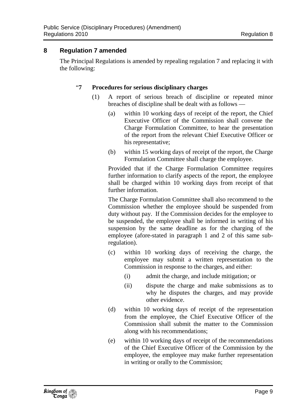#### **8 Regulation 7 amended**

The Principal Regulations is amended by repealing regulation 7 and replacing it with the following:

#### "**7 Procedures for serious disciplinary charges**

- (1) A report of serious breach of discipline or repeated minor breaches of discipline shall be dealt with as follows —
	- (a) within 10 working days of receipt of the report, the Chief Executive Officer of the Commission shall convene the Charge Formulation Committee, to hear the presentation of the report from the relevant Chief Executive Officer or his representative;
	- (b) within 15 working days of receipt of the report, the Charge Formulation Committee shall charge the employee.

Provided that if the Charge Formulation Committee requires further information to clarify aspects of the report, the employee shall be charged within 10 working days from receipt of that further information.

The Charge Formulation Committee shall also recommend to the Commission whether the employee should be suspended from duty without pay. If the Commission decides for the employee to be suspended, the employee shall be informed in writing of his suspension by the same deadline as for the charging of the employee (afore-stated in paragraph 1 and 2 of this same subregulation).

- (c) within 10 working days of receiving the charge, the employee may submit a written representation to the Commission in response to the charges, and either:
	- (i) admit the charge, and include mitigation; or
	- (ii) dispute the charge and make submissions as to why he disputes the charges, and may provide other evidence.
- (d) within 10 working days of receipt of the representation from the employee, the Chief Executive Officer of the Commission shall submit the matter to the Commission along with his recommendations;
- (e) within 10 working days of receipt of the recommendations of the Chief Executive Officer of the Commission by the employee, the employee may make further representation in writing or orally to the Commission;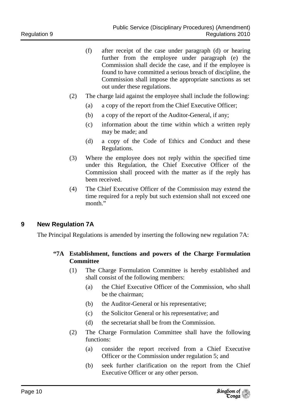- (f) after receipt of the case under paragraph (d) or hearing further from the employee under paragraph (e) the Commission shall decide the case, and if the employee is found to have committed a serious breach of discipline, the Commission shall impose the appropriate sanctions as set out under these regulations.
- (2) The charge laid against the employee shall include the following:
	- (a) a copy of the report from the Chief Executive Officer;
	- (b) a copy of the report of the Auditor-General, if any;
	- (c) information about the time within which a written reply may be made; and
	- (d) a copy of the Code of Ethics and Conduct and these Regulations.
- (3) Where the employee does not reply within the specified time under this Regulation, the Chief Executive Officer of the Commission shall proceed with the matter as if the reply has been received.
- (4) The Chief Executive Officer of the Commission may extend the time required for a reply but such extension shall not exceed one month."

#### **9 New Regulation 7A**

The Principal Regulations is amended by inserting the following new regulation 7A:

#### **"7A Establishment, functions and powers of the Charge Formulation Committee**

- (1) The Charge Formulation Committee is hereby established and shall consist of the following members:
	- (a) the Chief Executive Officer of the Commission, who shall be the chairman;
	- (b) the Auditor-General or his representative;
	- (c) the Solicitor General or his representative; and
	- (d) the secretariat shall be from the Commission.
- (2) The Charge Formulation Committee shall have the following functions:
	- (a) consider the report received from a Chief Executive Officer or the Commission under regulation 5; and
	- (b) seek further clarification on the report from the Chief Executive Officer or any other person.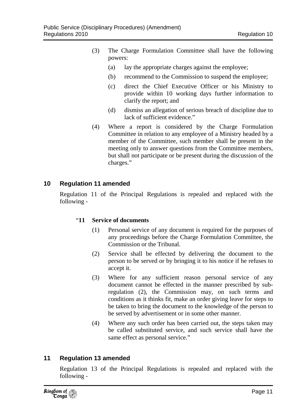- (3) The Charge Formulation Committee shall have the following powers:
	- (a) lay the appropriate charges against the employee;
	- (b) recommend to the Commission to suspend the employee;
	- (c) direct the Chief Executive Officer or his Ministry to provide within 10 working days further information to clarify the report; and
	- (d) dismiss an allegation of serious breach of discipline due to lack of sufficient evidence."
- (4) Where a report is considered by the Charge Formulation Committee in relation to any employee of a Ministry headed by a member of the Committee, such member shall be present in the meeting only to answer questions from the Committee members, but shall not participate or be present during the discussion of the charges."

#### **10 Regulation 11 amended**

Regulation 11 of the Principal Regulations is repealed and replaced with the following -

#### "**11 Service of documents**

- (1) Personal service of any document is required for the purposes of any proceedings before the Charge Formulation Committee, the Commission or the Tribunal.
- (2) Service shall be effected by delivering the document to the person to be served or by bringing it to his notice if he refuses to accept it.
- (3) Where for any sufficient reason personal service of any document cannot be effected in the manner prescribed by subregulation (2), the Commission may, on such terms and conditions as it thinks fit, make an order giving leave for steps to be taken to bring the document to the knowledge of the person to be served by advertisement or in some other manner.
- (4) Where any such order has been carried out, the steps taken may be called substituted service, and such service shall have the same effect as personal service."

#### **11 Regulation 13 amended**

Regulation 13 of the Principal Regulations is repealed and replaced with the following -

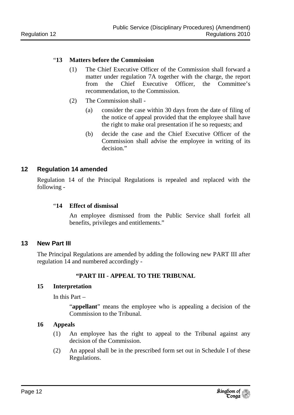#### "**13 Matters before the Commission**

- (1) The Chief Executive Officer of the Commission shall forward a matter under regulation 7A together with the charge, the report from the Chief Executive Officer, the Committee's recommendation, to the Commission.
- (2) The Commission shall
	- (a) consider the case within 30 days from the date of filing of the notice of appeal provided that the employee shall have the right to make oral presentation if he so requests; and
	- (b) decide the case and the Chief Executive Officer of the Commission shall advise the employee in writing of its decision"

#### **12 Regulation 14 amended**

Regulation 14 of the Principal Regulations is repealed and replaced with the following -

#### "**14 Effect of dismissal**

An employee dismissed from the Public Service shall forfeit all benefits, privileges and entitlements."

#### **13 New Part III**

The Principal Regulations are amended by adding the following new PART III after regulation 14 and numbered accordingly -

#### **"PART III - APPEAL TO THE TRIBUNAL**

#### **15 Interpretation**

In this Part –

"**appellant**" means the employee who is appealing a decision of the Commission to the Tribunal.

#### **16 Appeals**

- (1) An employee has the right to appeal to the Tribunal against any decision of the Commission.
- (2) An appeal shall be in the prescribed form set out in Schedule I of these Regulations.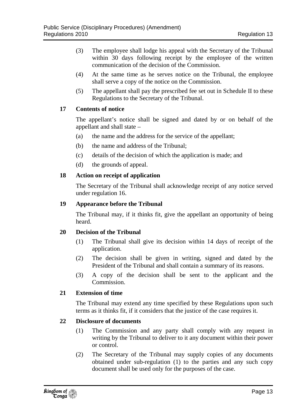- (3) The employee shall lodge his appeal with the Secretary of the Tribunal within 30 days following receipt by the employee of the written communication of the decision of the Commission.
- (4) At the same time as he serves notice on the Tribunal, the employee shall serve a copy of the notice on the Commission.
- (5) The appellant shall pay the prescribed fee set out in Schedule II to these Regulations to the Secretary of the Tribunal.

#### **17 Contents of notice**

The appellant's notice shall be signed and dated by or on behalf of the appellant and shall state –

- (a) the name and the address for the service of the appellant;
- (b) the name and address of the Tribunal;
- (c) details of the decision of which the application is made; and
- (d) the grounds of appeal.

#### **18 Action on receipt of application**

The Secretary of the Tribunal shall acknowledge receipt of any notice served under regulation 16.

#### **19 Appearance before the Tribunal**

The Tribunal may, if it thinks fit, give the appellant an opportunity of being heard.

#### **20 Decision of the Tribunal**

- (1) The Tribunal shall give its decision within 14 days of receipt of the application.
- (2) The decision shall be given in writing, signed and dated by the President of the Tribunal and shall contain a summary of its reasons.
- (3) A copy of the decision shall be sent to the applicant and the Commission.

#### **21 Extension of time**

The Tribunal may extend any time specified by these Regulations upon such terms as it thinks fit, if it considers that the justice of the case requires it.

#### **22 Disclosure of documents**

- (1) The Commission and any party shall comply with any request in writing by the Tribunal to deliver to it any document within their power or control.
- (2) The Secretary of the Tribunal may supply copies of any documents obtained under sub-regulation (1) to the parties and any such copy document shall be used only for the purposes of the case.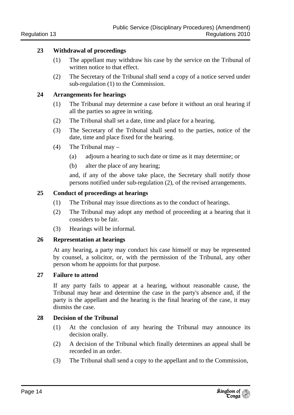#### **23 Withdrawal of proceedings**

- (1) The appellant may withdraw his case by the service on the Tribunal of written notice to that effect.
- (2) The Secretary of the Tribunal shall send a copy of a notice served under sub-regulation (1) to the Commission.

#### **24 Arrangements for hearings**

- (1) The Tribunal may determine a case before it without an oral hearing if all the parties so agree in writing.
- (2) The Tribunal shall set a date, time and place for a hearing.
- (3) The Secretary of the Tribunal shall send to the parties, notice of the date, time and place fixed for the hearing.
- (4) The Tribunal may
	- (a) adjourn a hearing to such date or time as it may determine; or
	- (b) alter the place of any hearing;

and, if any of the above take place, the Secretary shall notify those persons notified under sub-regulation (2), of the revised arrangements.

#### **25 Conduct of proceedings at hearings**

- (1) The Tribunal may issue directions as to the conduct of hearings.
- (2) The Tribunal may adopt any method of proceeding at a hearing that it considers to be fair.
- (3) Hearings will be informal.

#### **26 Representation at hearings**

 At any hearing, a party may conduct his case himself or may be represented by counsel, a solicitor, or, with the permission of the Tribunal, any other person whom he appoints for that purpose.

#### **27 Failure to attend**

If any party fails to appear at a hearing, without reasonable cause, the Tribunal may hear and determine the case in the party's absence and, if the party is the appellant and the hearing is the final hearing of the case, it may dismiss the case.

#### **28 Decision of the Tribunal**

- (1) At the conclusion of any hearing the Tribunal may announce its decision orally.
- (2) A decision of the Tribunal which finally determines an appeal shall be recorded in an order.
- (3) The Tribunal shall send a copy to the appellant and to the Commission,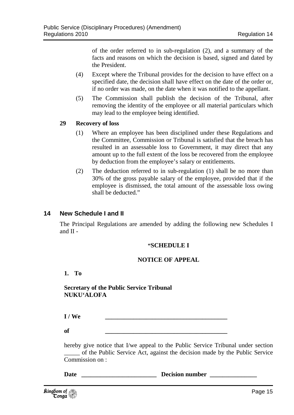of the order referred to in sub-regulation (2), and a summary of the facts and reasons on which the decision is based, signed and dated by the President.

- (4) Except where the Tribunal provides for the decision to have effect on a specified date, the decision shall have effect on the date of the order or, if no order was made, on the date when it was notified to the appellant.
- (5) The Commission shall publish the decision of the Tribunal, after removing the identity of the employee or all material particulars which may lead to the employee being identified.

#### **29 Recovery of loss**

- (1) Where an employee has been disciplined under these Regulations and the Committee, Commission or Tribunal is satisfied that the breach has resulted in an assessable loss to Government, it may direct that any amount up to the full extent of the loss be recovered from the employee by deduction from the employee's salary or entitlements.
- (2) The deduction referred to in sub-regulation (1) shall be no more than 30% of the gross payable salary of the employee, provided that if the employee is dismissed, the total amount of the assessable loss owing shall be deducted."

#### **14 New Schedule I and II**

The Principal Regulations are amended by adding the following new Schedules I and II -

#### **"SCHEDULE I**

#### **NOTICE OF APPEAL**

**1. To** 

**Secretary of the Public Service Tribunal NUKU'ALOFA** 

 $I / We$ 

 $\text{of}$   $\hspace{1.5cm}$   $\hspace{1.5cm}$   $\hspace{1.5cm}$   $\hspace{1.5cm}$   $\hspace{1.5cm}$   $\hspace{1.5cm}$   $\hspace{1.5cm}$   $\hspace{1.5cm}$   $\hspace{1.5cm}$   $\hspace{1.5cm}$   $\hspace{1.5cm}$   $\hspace{1.5cm}$   $\hspace{1.5cm}$   $\hspace{1.5cm}$   $\hspace{1.5cm}$   $\hspace{1.5cm}$   $\hspace{1.5cm}$   $\hspace{1.5cm$ 

hereby give notice that I/we appeal to the Public Service Tribunal under section \_\_\_\_\_ of the Public Service Act, against the decision made by the Public Service Commission on :

Date **Date Decision number Decision 2**